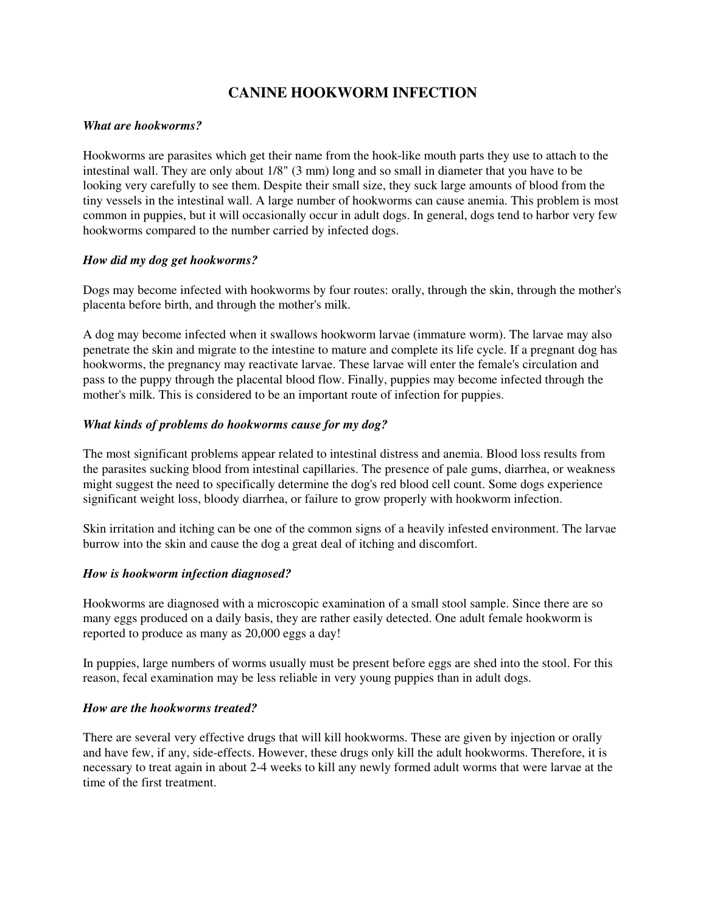# **CANINE HOOKWORM INFECTION**

### *What are hookworms?*

Hookworms are parasites which get their name from the hook-like mouth parts they use to attach to the intestinal wall. They are only about 1/8" (3 mm) long and so small in diameter that you have to be looking very carefully to see them. Despite their small size, they suck large amounts of blood from the tiny vessels in the intestinal wall. A large number of hookworms can cause anemia. This problem is most common in puppies, but it will occasionally occur in adult dogs. In general, dogs tend to harbor very few hookworms compared to the number carried by infected dogs.

## *How did my dog get hookworms?*

Dogs may become infected with hookworms by four routes: orally, through the skin, through the mother's placenta before birth, and through the mother's milk.

A dog may become infected when it swallows hookworm larvae (immature worm). The larvae may also penetrate the skin and migrate to the intestine to mature and complete its life cycle. If a pregnant dog has hookworms, the pregnancy may reactivate larvae. These larvae will enter the female's circulation and pass to the puppy through the placental blood flow. Finally, puppies may become infected through the mother's milk. This is considered to be an important route of infection for puppies.

## *What kinds of problems do hookworms cause for my dog?*

The most significant problems appear related to intestinal distress and anemia. Blood loss results from the parasites sucking blood from intestinal capillaries. The presence of pale gums, diarrhea, or weakness might suggest the need to specifically determine the dog's red blood cell count. Some dogs experience significant weight loss, bloody diarrhea, or failure to grow properly with hookworm infection.

Skin irritation and itching can be one of the common signs of a heavily infested environment. The larvae burrow into the skin and cause the dog a great deal of itching and discomfort.

# *How is hookworm infection diagnosed?*

Hookworms are diagnosed with a microscopic examination of a small stool sample. Since there are so many eggs produced on a daily basis, they are rather easily detected. One adult female hookworm is reported to produce as many as 20,000 eggs a day!

In puppies, large numbers of worms usually must be present before eggs are shed into the stool. For this reason, fecal examination may be less reliable in very young puppies than in adult dogs.

### *How are the hookworms treated?*

There are several very effective drugs that will kill hookworms. These are given by injection or orally and have few, if any, side-effects. However, these drugs only kill the adult hookworms. Therefore, it is necessary to treat again in about 2-4 weeks to kill any newly formed adult worms that were larvae at the time of the first treatment.